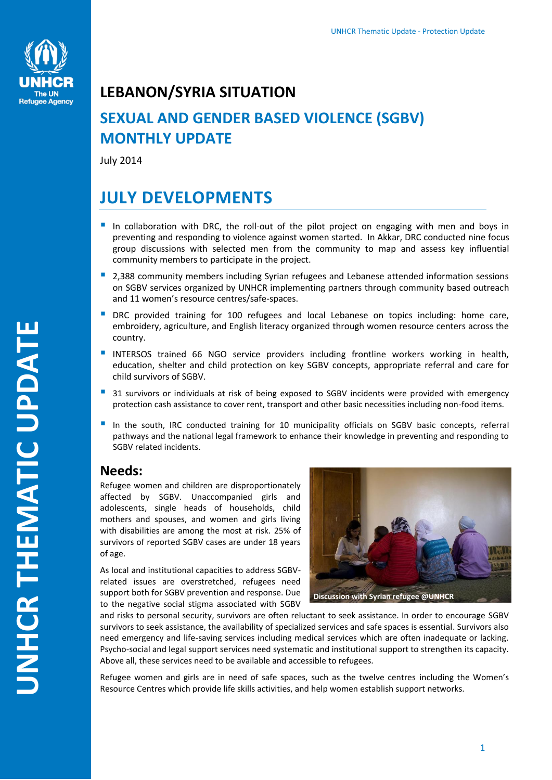

## **LEBANON/SYRIA SITUATION**

# **SEXUAL AND GENDER BASED VIOLENCE (SGBV) MONTHLY UPDATE**

July 2014

# **JULY DEVELOPMENTS**

- In collaboration with DRC, the roll-out of the pilot project on engaging with men and boys in preventing and responding to violence against women started. In Akkar, DRC conducted nine focus group discussions with selected men from the community to map and assess key influential community members to participate in the project.
- 2,388 community members including Syrian refugees and Lebanese attended information sessions on SGBV services organized by UNHCR implementing partners through community based outreach and 11 women's resource centres/safe-spaces.
- **DRC** provided training for 100 refugees and local Lebanese on topics including: home care, embroidery, agriculture, and English literacy organized through women resource centers across the country.
- **INTERSOS trained 66 NGO service providers including frontline workers working in health,** education, shelter and child protection on key SGBV concepts, appropriate referral and care for child survivors of SGBV.
- <sup>3</sup> 31 survivors or individuals at risk of being exposed to SGBV incidents were provided with emergency protection cash assistance to cover rent, transport and other basic necessities including non-food items.
- In the south, IRC conducted training for 10 municipality officials on SGBV basic concepts, referral pathways and the national legal framework to enhance their knowledge in preventing and responding to SGBV related incidents.

## **Needs:**

Refugee women and children are disproportionately affected by SGBV. Unaccompanied girls and adolescents, single heads of households, child mothers and spouses, and women and girls living with disabilities are among the most at risk. 25% of survivors of reported SGBV cases are under 18 years of age.

As local and institutional capacities to address SGBVrelated issues are overstretched, refugees need support both for SGBV prevention and response. Due to the negative social stigma associated with SGBV



and risks to personal security, survivors are often reluctant to seek assistance. In order to encourage SGBV survivors to seek assistance, the availability of specialized services and safe spaces is essential. Survivors also need emergency and life-saving services including medical services which are often inadequate or lacking. Psycho-social and legal support services need systematic and institutional support to strengthen its capacity. Above all, these services need to be available and accessible to refugees.

Refugee women and girls are in need of safe spaces, such as the twelve centres including the Women's Resource Centres which provide life skills activities, and help women establish support networks.